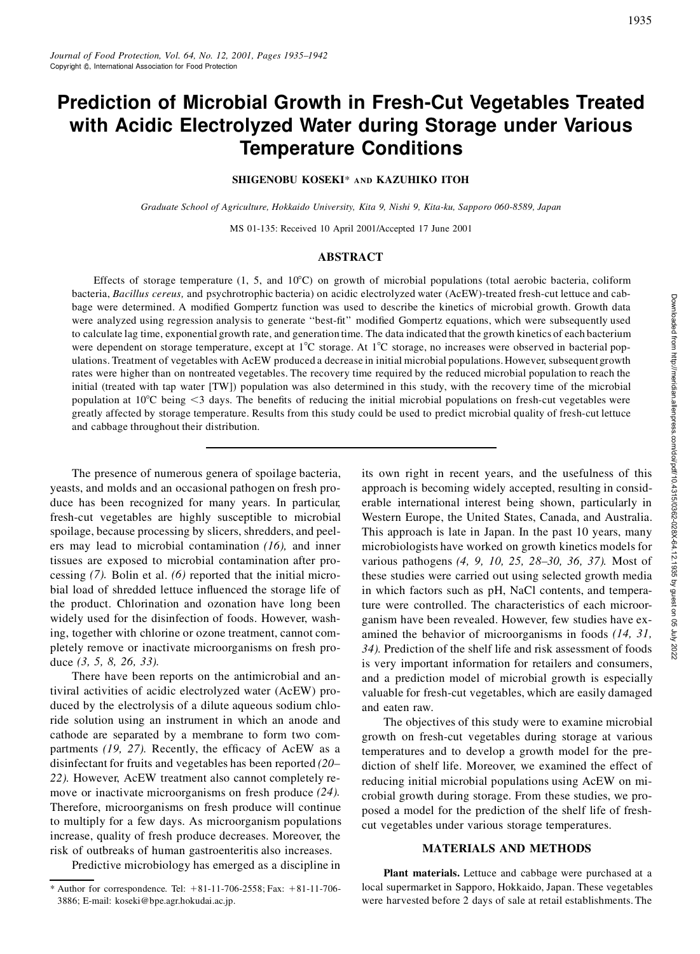# **Prediction of Microbial Growth in Fresh-Cut Vegetables Treated with Acidic Electrolyzed Water during Storage under Various Temperature Conditions**

# **SHIGENOBU KOSEKI**\* **AND KAZUHIKO ITOH**

*Graduate School of Agriculture, Hokkaido University, Kita 9, Nishi 9, Kita-ku, Sapporo 060-8589, Japan*

MS 01-135: Received 10 April 2001/Accepted 17 June 2001

### **ABSTRACT**

Effects of storage temperature  $(1, 5,$  and  $10^{\circ}$ C) on growth of microbial populations (total aerobic bacteria, coliform bacteria, *Bacillus cereus,* and psychrotrophic bacteria) on acidic electrolyzed water (AcEW)-treated fresh-cut lettuce and cabbage were determined. A modified Gompertz function was used to describe the kinetics of microbial growth. Growth data were analyzed using regression analysis to generate "best-fit" modified Gompertz equations, which were subsequently used to calculate lag time, exponential growth rate, and generation time. The data indicated that the growth kinetics of each bacterium were dependent on storage temperature, except at 1<sup>°</sup>C storage. At 1<sup>°</sup>C storage, no increases were observed in bacterial populations. Treatment of vegetables with AcEW produced a decrease in initial microbial populations.However, subsequentgrowth rates were higher than on nontreated vegetables. The recovery time required by the reduced microbial population to reach the initial (treated with tap water [TW]) population was also determined in this study, with the recovery time of the microbial population at  $10^{\circ}$ C being  $\leq$ 3 days. The benefits of reducing the initial microbial populations on fresh-cut vegetables were greatly affected by storage temperature. Results from this study could be used to predict microbial quality of fresh-cut lettuce and cabbage throughout their distribution.

The presence of numerous genera of spoilage bacteria, yeasts, and molds and an occasional pathogen on fresh produce has been recognized for many years. In particular, fresh-cut vegetables are highly susceptible to microbial spoilage, because processing by slicers, shredders, and peelers may lead to microbial contamination *(16),* and inner tissues are exposed to microbial contamination after processing *(7).* Bolin et al. *(6)* reported that the initial microbial load of shredded lettuce influenced the storage life of the product. Chlorination and ozonation have long been widely used for the disinfection of foods. However, washing, together with chlorine or ozone treatment, cannot completely remove or inactivate microorganisms on fresh produce *(3, 5, 8, 26, 33).*

There have been reports on the antimicrobial and antiviral activities of acidic electrolyzed water (AcEW) produced by the electrolysis of a dilute aqueous sodium chloride solution using an instrument in which an anode and cathode are separated by a membrane to form two compartments (19, 27). Recently, the efficacy of AcEW as a disinfectant for fruits and vegetables has been reported *(20– 22).* However, AcEW treatment also cannot completely remove or inactivate microorganisms on fresh produce *(24).* Therefore, microorganisms on fresh produce will continue to multiply for a few days. As microorganism populations increase, quality of fresh produce decreases. Moreover, the risk of outbreaks of human gastroenteritis also increases.

Predictive microbiology has emerged as a discipline in

its own right in recent years, and the usefulness of this approach is becoming widely accepted, resulting in considelectrolyzed water (AcEW)-lineated trestor-clittletic and can-<br>d to describe k kinetics of microbial growth. Growth data<br>nodified Gompertz equations, which were subsequently used<br>. The data indicated that the growth kinet Western Europe, the United States, Canada, and Australia. This approach is late in Japan. In the past 10 years, many microbiologists have worked on growth kinetics models for various pathogens *(4, 9, 10, 25, 28–30, 36, 37).* Most of these studies were carried out using selected growth media in which factors such as pH, NaCl contents, and temperature were controlled. The characteristics of each microorganism have been revealed. However, few studies have examined the behavior of microorganisms in foods *(14, 31, 34).* Prediction of the shelf life and risk assessment of foods is very important information for retailers and consumers, and a prediction model of microbial growth is especially valuable for fresh-cut vegetables, which are easily damaged and eaten raw.

The objectives of this study were to examine microbial growth on fresh-cut vegetables during storage at various temperatures and to develop a growth model for the prediction of shelf life. Moreover, we examined the effect of reducing initial microbial populations using AcEW on microbial growth during storage. From these studies, we proposed a model for the prediction of the shelf life of freshcut vegetables under various storage temperatures.

#### **MATERIALS AND METHODS**

**Plant materials.** Lettuce and cabbage were purchased at a local supermarket in Sapporo, Hokkaido, Japan. These vegetables were harvested before 2 days of sale at retail establishments. The

<sup>\*</sup> Author for correspondence. Tel:  $+81-11-706-2558$ ; Fax:  $+81-11-706-$ 3886; E-mail: koseki@bpe.agr.hokudai.ac.jp.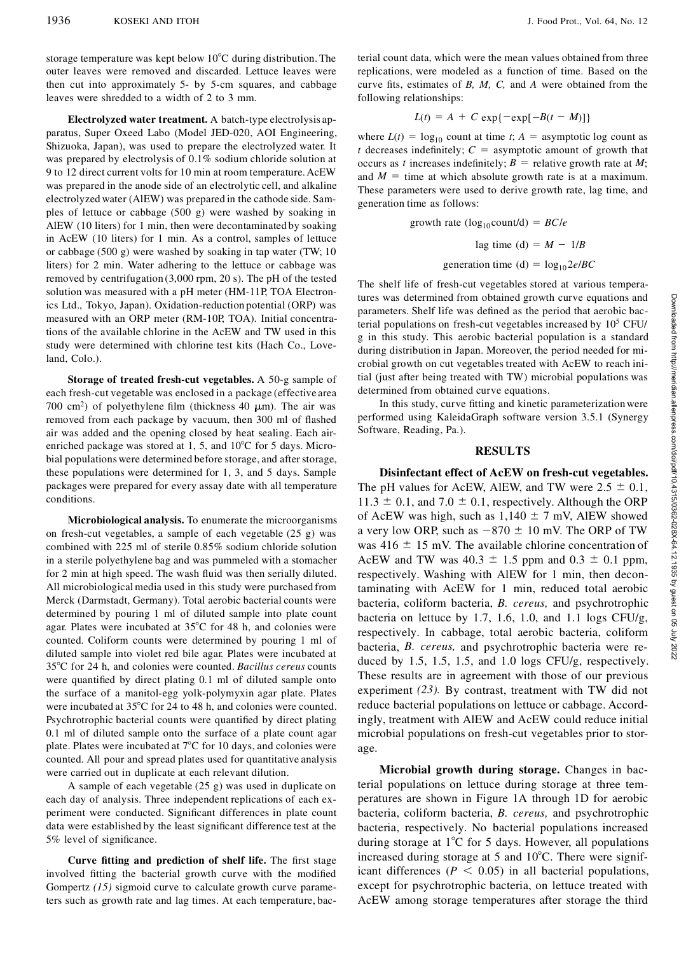storage temperature was kept below  $10^{\circ}$ C during distribution. The outer leaves were removed and discarded. Lettuce leaves were then cut into approximately 5- by 5-cm squares, and cabbage leaves were shredded to a width of 2 to 3 mm.

**Electrolyzed water treatment.** A batch-type electrolysis apparatus, Super Oxeed Labo (Model JED-020, AOI Engineering, Shizuoka, Japan), was used to prepare the electrolyzed water. It was prepared by electrolysis of 0.1% sodium chloride solution at 9 to 12 direct current volts for 10 min at room temperature.AcEW was prepared in the anode side of an electrolytic cell, and alkaline electrolyzed water (AlEW) was prepared in the cathode side. Samples of lettuce or cabbage (500 g) were washed by soaking in AlEW (10 liters) for 1 min, then were decontaminated by soaking in AcEW (10 liters) for 1 min. As a control, samples of lettuce or cabbage (500 g) were washed by soaking in tap water (TW; 10 liters) for 2 min. Water adhering to the lettuce or cabbage was removed by centrifugation (3,000 rpm, 20 s). The pH of the tested solution was measured with a pH meter (HM-11P, TOA Electronics Ltd., Tokyo, Japan). Oxidation-reduction potential (ORP) was measured with an ORP meter (RM-10P, TOA). Initial concentrations of the available chlorine in the AcEW and TW used in this study were determined with chlorine test kits (Hach Co., Loveland, Colo.).

**Storage of treated fresh-cut vegetables.** A 50-g sample of each fresh-cut vegetable was enclosed in a package (effective area 700 cm<sup>2</sup>) of polyethylene film (thickness 40  $\mu$ m). The air was removed from each package by vacuum, then 300 ml of flashed air was added and the opening closed by heat sealing. Each airenriched package was stored at 1, 5, and  $10^{\circ}$ C for 5 days. Microbial populationswere determined before storage, and after storage, these populations were determined for 1, 3, and 5 days. Sample packages were prepared for every assay date with all temperature conditions.

**Microbiological analysis.** To enumerate the microorganisms on fresh-cut vegetables, a sample of each vegetable (25 g) was combined with 225 ml of sterile 0.85% sodium chloride solution in a sterile polyethylene bag and was pummeled with a stomacher for 2 min at high speed. The wash fluid was then serially diluted. All microbiological media used in this study were purchased from Merck (Darmstadt, Germany). Total aerobic bacterial counts were determined by pouring 1 ml of diluted sample into plate count agar. Plates were incubated at  $35^{\circ}$ C for 48 h, and colonies were counted. Coliform counts were determined by pouring 1 ml of diluted sample into violet red bile agar. Plates were incubated at 358C for 24 h, and colonies were counted. *Bacillus cereus* counts were quantified by direct plating 0.1 ml of diluted sample onto the surface of a manitol-egg yolk-polymyxin agar plate. Plates were incubated at 35°C for 24 to 48 h, and colonies were counted. Psychrotrophic bacterial counts were quantified by direct plating 0.1 ml of diluted sample onto the surface of a plate count agar plate. Plates were incubated at  $7^{\circ}$ C for 10 days, and colonies were counted. All pour and spread plates used for quantitative analysis were carried out in duplicate at each relevant dilution.

A sample of each vegetable (25 g) was used in duplicate on each day of analysis. Three independent replications of each ex periment were conducted. Significant differences in plate count data were established by the least significant difference test at the 5% level of significance.

**Curve fitting and prediction of shelf life.** The first stage involved fitting the bacterial growth curve with the modified Gompertz *(15)* sigmoid curve to calculate growth curve parameters such as growth rate and lag times. At each temperature, bacterial count data, which were the mean values obtained from three replications, were modeled as a function of time. Based on the curve fits, estimates of  $B$ ,  $M$ ,  $C$ , and  $A$  were obtained from the following relationships:

$$
L(t) = A + C \exp\{-\exp[-B(t - M)]\}
$$

where  $L(t) = \log_{10}$  count at time *t*;  $A =$  asymptotic log count as *t* decreases indefinitely;  $C =$  asymptotic amount of growth that occurs as *t* increases indefinitely;  $B =$  relative growth rate at *M*; and  $M =$  time at which absolute growth rate is at a maximum. These parameters were used to derive growth rate, lag time, and generation time as follows:

growth rate 
$$
(\log_{10} \text{count/d}) = BC/e
$$
  
lag time (d) =  $M - 1/B$   
generation time (d) =  $\log_{10} 2e/BC$ 

The shelf life of fresh-cut vegetables stored at various temperatures was determined from obtained growth curve equations and parameters. Shelf life was defined as the period that aerobic bacterial populations on fresh-cut vegetables increased by 10<sup>5</sup> CFU/ g in this study. This aerobic bacterial population is a standard during distribution in Japan. Moreover, the period needed for microbial growth on cut vegetables treated with AcEW to reach initial (just after being treated with TW) microbial populations was determined from obtained curve equations.

In this study, curve fitting and kinetic parameterization were performed using KaleidaGraph software version 3.5.1 (Synergy Software, Reading, Pa.).

#### **RESULTS**

**Disinfectant effect of AcEW on fresh-cut vegetables.** The pH values for AcEW, AlEW, and TW were  $2.5 \pm 0.1$ ,  $11.3 \pm 0.1$ , and  $7.0 \pm 0.1$ , respectively. Although the ORP of AcEW was high, such as  $1,140 \pm 7$  mV, AlEW showed tures was determined from obtained growth curve equations and<br>parameters. Shelf life was defined as the period that aerobic bac-<br>perial populations on fresh-cut vegetables increased by 10<sup>5</sup> CFU/<br>g in this study. This aer was 416  $\pm$  15 mV. The available chlorine concentration of AcEW and TW was  $40.3 \pm 1.5$  ppm and  $0.3 \pm 0.1$  ppm, respectively. Washing with AlEW for 1 min, then decontaminating with AcEW for 1 min, reduced total aerobic bacteria, coliform bacteria, *B. cereus,* and psychrotrophic bacteria on lettuce by 1.7, 1.6, 1.0, and 1.1 logs CFU/g, respectively. In cabbage, total aerobic bacteria, coliform bacteria, *B. cereus,* and psychrotrophic bacteria were reduced by 1.5, 1.5, 1.5, and 1.0 logs CFU/g, respectively. These results are in agreement with those of our previous experiment *(23).* By contrast, treatment with TW did not reduce bacterial populations on lettuce or cabbage. Accordingly, treatment with AlEW and AcEW could reduce initial microbial populations on fresh-cut vegetables prior to storage.

**Microbial growth during storage.** Changes in bacterial populations on lettuce during storage at three temperatures are shown in Figure 1A through 1D for aerobic bacteria, coliform bacteria, *B. cereus,* and psychrotrophic bacteria, respectively. No bacterial populations increased during storage at  $1^{\circ}$ C for 5 days. However, all populations increased during storage at 5 and  $10^{\circ}$ C. There were significant differences ( $P \leq 0.05$ ) in all bacterial populations, except for psychrotrophic bacteria, on lettuce treated with AcEW among storage temperatures after storage the third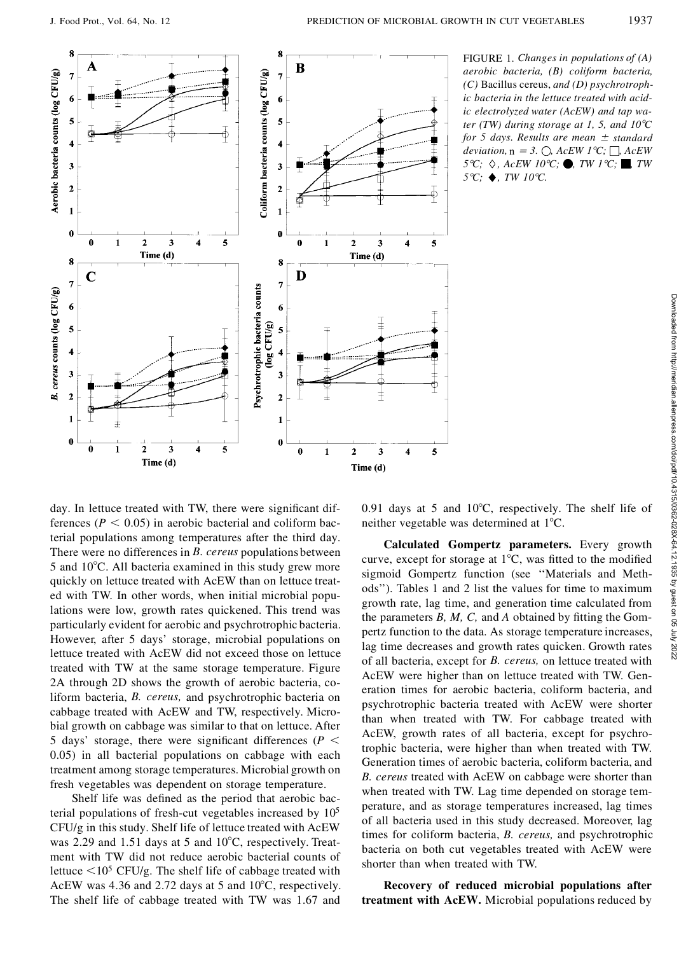

day. In lettuce treated with TW, there were significant differences ( $P < 0.05$ ) in aerobic bacterial and coliform bacterial populations among temperatures after the third day. There were no differences in *B. cereus* populations between 5 and  $10^{\circ}$ C. All bacteria examined in this study grew more quickly on lettuce treated with AcEW than on lettuce treated with TW. In other words, when initial microbial populations were low, growth rates quickened. This trend was particularly evident for aerobic and psychrotrophic bacteria. However, after 5 days' storage, microbial populations on lettuce treated with AcEW did not exceed those on lettuce treated with TW at the same storage temperature. Figure 2A through 2D shows the growth of aerobic bacteria, coliform bacteria, *B. cereus,* and psychrotrophic bacteria on cabbage treated with AcEW and TW, respectively. Microbial growth on cabbage was similar to that on lettuce. After 5 days' storage, there were significant differences ( $P \leq$ 0.05) in all bacterial populations on cabbage with each treatment among storage temperatures. Microbial growth on fresh vegetables was dependent on storage temperature.

Shelf life was defined as the period that aerobic bacterial populations of fresh-cut vegetables increased by  $10<sup>5</sup>$ CFU/g in this study. Shelf life of lettuce treated with AcEW was 2.29 and 1.51 days at 5 and  $10^{\circ}$ C, respectively. Treatment with TW did not reduce aerobic bacterial counts of lettuce  $\leq 10^5$  CFU/g. The shelf life of cabbage treated with AcEW was 4.36 and 2.72 days at 5 and  $10^{\circ}$ C, respectively. The shelf life of cabbage treated with TW was 1.67 and 0.91 days at 5 and  $10^{\circ}$ C, respectively. The shelf life of neither vegetable was determined at  $1^{\circ}C$ .

France of the set of the set of the set of the set of the set of the set of the set of the set of the set of the set of the set of the set of the set of the set of the set of the set of the set of the set of the set of the curve, except for storage at  $1^{\circ}C$ , was fitted to the modified sigmoid Gompertz function (see ''Materials and Methods''). Tables 1 and 2 list the values for time to maximum growth rate, lag time, and generation time calculated from the parameters  $B$ ,  $M$ ,  $C$ , and  $A$  obtained by fitting the Gompertz function to the data. As storage temperature increases, lag time decreases and growth rates quicken. Growth rates of all bacteria, except for *B. cereus,* on lettuce treated with AcEW were higher than on lettuce treated with TW. Generation times for aerobic bacteria, coliform bacteria, and psychrotrophic bacteria treated with AcEW were shorter than when treated with TW. For cabbage treated with AcEW, growth rates of all bacteria, except for psychrotrophic bacteria, were higher than when treated with TW. Generation times of aerobic bacteria, coliform bacteria, and *B. cereus* treated with AcEW on cabbage were shorter than when treated with TW. Lag time depended on storage temperature, and as storage temperatures increased, lag times of all bacteria used in this study decreased. Moreover, lag times for coliform bacteria, *B. cereus,* and psychrotrophic bacteria on both cut vegetables treated with AcEW were shorter than when treated with TW.

**Recovery of reduced microbial populations after treatment with AcEW.** Microbial populations reduced by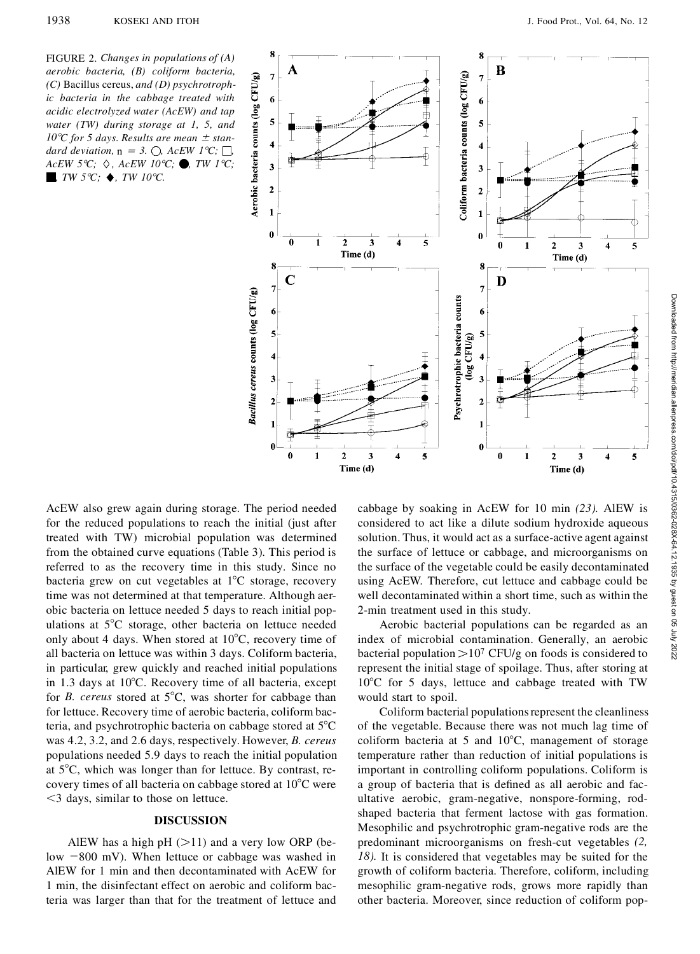

AcEW also grew again during storage. The period needed for the reduced populations to reach the initial (just after treated with TW) microbial population was determined from the obtained curve equations (Table 3). This period is referred to as the recovery time in this study. Since no bacteria grew on cut vegetables at  $1^{\circ}$ C storage, recovery time was not determined at that temperature. Although aerobic bacteria on lettuce needed 5 days to reach initial populations at  $5^{\circ}$ C storage, other bacteria on lettuce needed only about 4 days. When stored at  $10^{\circ}$ C, recovery time of all bacteria on lettuce was within 3 days. Coliform bacteria, in particular, grew quickly and reached initial populations in 1.3 days at  $10^{\circ}$ C. Recovery time of all bacteria, except for *B. cereus* stored at 5°C, was shorter for cabbage than for lettuce. Recovery time of aerobic bacteria, coliform bacteria, and psychrotrophic bacteria on cabbage stored at  $5^{\circ}$ C was 4.2, 3.2, and 2.6 days, respectively. However, *B. cereus* populations needed 5.9 days to reach the initial population at  $5^{\circ}$ C, which was longer than for lettuce. By contrast, recovery times of all bacteria on cabbage stored at  $10^{\circ}$ C were  $<$ 3 days, similar to those on lettuce.

### **DISCUSSION**

AlEW has a high pH  $($ >11) and a very low ORP (below  $-800$  mV). When lettuce or cabbage was washed in AlEW for 1 min and then decontaminated with AcEW for 1 min, the disinfectant effect on aerobic and coliform bacteria was larger than that for the treatment of lettuce and considered to act like a dilute sodium hydroxide aqueous solution. Thus, it would act as a surface-active agent against the surface of lettuce or cabbage, and microorganisms on the surface of the vegetable could be easily decontaminated using AcEW. Therefore, cut lettuce and cabbage could be well decontaminated within a short time, such as within the 2-min treatment used in this study.

Aerobic bacterial populations can be regarded as an index of microbial contamination. Generally, an aerobic bacterial population  $>10^7$  CFU/g on foods is considered to represent the initial stage of spoilage. Thus, after storing at  $10^{\circ}$ C for 5 days, lettuce and cabbage treated with TW would start to spoil.

Coliform bacterial populationsrepresent the cleanliness of the vegetable. Because there was not much lag time of coliform bacteria at 5 and  $10^{\circ}$ C, management of storage temperature rather than reduction of initial populations is important in controlling coliform populations. Coliform is a group of bacteria that is defined as all aerobic and facultative aerobic, gram-negative, nonspore-forming, rodshaped bacteria that ferment lactose with gas formation. Mesophilic and psychrotrophic gram-negative rods are the predominant microorganisms on fresh-cut vegetables *(2, 18).* It is considered that vegetables may be suited for the growth of coliform bacteria. Therefore, coliform, including mesophilic gram-negative rods, grows more rapidly than other bacteria. Moreover, since reduction of coliform pop-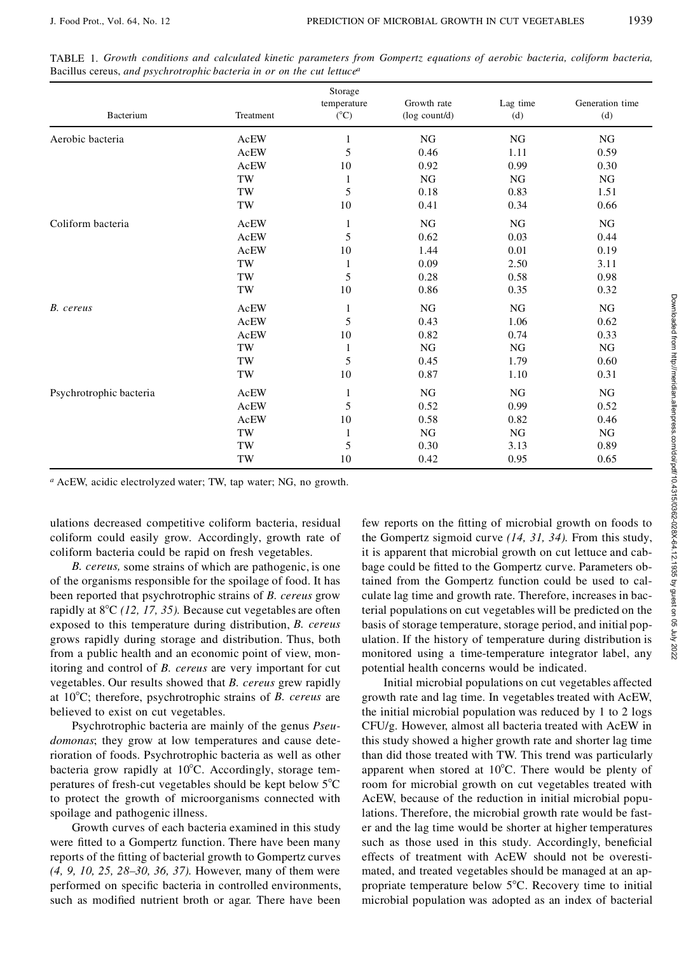| Bacterium                                                                                                                                                                                                                                                                                                                          | Treatment           | Storage<br>temperature<br>$(^{\circ}C)$ | Growth rate<br>(log count/d)                                  | Lag time<br>(d) | Generation time<br>(d)                                                                                                                                                                                                                                      |
|------------------------------------------------------------------------------------------------------------------------------------------------------------------------------------------------------------------------------------------------------------------------------------------------------------------------------------|---------------------|-----------------------------------------|---------------------------------------------------------------|-----------------|-------------------------------------------------------------------------------------------------------------------------------------------------------------------------------------------------------------------------------------------------------------|
| Aerobic bacteria                                                                                                                                                                                                                                                                                                                   | AcEW                | 1                                       | NG                                                            | NG              | NG                                                                                                                                                                                                                                                          |
|                                                                                                                                                                                                                                                                                                                                    | AcEW                | 5                                       | 0.46                                                          | 1.11            | 0.59                                                                                                                                                                                                                                                        |
|                                                                                                                                                                                                                                                                                                                                    | AcEW                | 10                                      | 0.92                                                          | 0.99            | 0.30                                                                                                                                                                                                                                                        |
|                                                                                                                                                                                                                                                                                                                                    | TW                  | $\mathbf{1}$                            | ${\rm NG}$                                                    | $\rm NG$        | ${\rm NG}$                                                                                                                                                                                                                                                  |
|                                                                                                                                                                                                                                                                                                                                    | TW                  | $\mathfrak s$                           | 0.18                                                          | 0.83            | 1.51                                                                                                                                                                                                                                                        |
|                                                                                                                                                                                                                                                                                                                                    | $\operatorname{TW}$ | 10                                      | 0.41                                                          | 0.34            | 0.66                                                                                                                                                                                                                                                        |
| Coliform bacteria                                                                                                                                                                                                                                                                                                                  | AcEW                | 1                                       | NG                                                            | NG              | NG                                                                                                                                                                                                                                                          |
|                                                                                                                                                                                                                                                                                                                                    | AcEW                | 5                                       | 0.62                                                          | 0.03            | 0.44                                                                                                                                                                                                                                                        |
|                                                                                                                                                                                                                                                                                                                                    | AcEW                | 10                                      | 1.44                                                          | 0.01            | 0.19                                                                                                                                                                                                                                                        |
|                                                                                                                                                                                                                                                                                                                                    | TW                  | 1                                       | 0.09                                                          | 2.50            | 3.11                                                                                                                                                                                                                                                        |
|                                                                                                                                                                                                                                                                                                                                    | TW                  | 5                                       | 0.28                                                          | 0.58            | 0.98                                                                                                                                                                                                                                                        |
|                                                                                                                                                                                                                                                                                                                                    | $\rm{TW}$           | 10                                      | 0.86                                                          | 0.35            | 0.32                                                                                                                                                                                                                                                        |
| B. cereus                                                                                                                                                                                                                                                                                                                          | AcEW                | 1                                       | NG                                                            | NG              | NG                                                                                                                                                                                                                                                          |
|                                                                                                                                                                                                                                                                                                                                    | <b>AcEW</b>         | 5                                       | 0.43                                                          | 1.06            | 0.62                                                                                                                                                                                                                                                        |
|                                                                                                                                                                                                                                                                                                                                    | AcEW                | 10                                      | 0.82                                                          | 0.74            | 0.33                                                                                                                                                                                                                                                        |
|                                                                                                                                                                                                                                                                                                                                    | $\operatorname{TW}$ | 1                                       | ${\rm NG}$                                                    | ${\rm NG}$      | ${\rm NG}$                                                                                                                                                                                                                                                  |
|                                                                                                                                                                                                                                                                                                                                    | TW                  | 5                                       | 0.45                                                          | 1.79            | 0.60                                                                                                                                                                                                                                                        |
|                                                                                                                                                                                                                                                                                                                                    | $\operatorname{TW}$ | 10                                      | 0.87                                                          | 1.10            | 0.31                                                                                                                                                                                                                                                        |
| Psychrotrophic bacteria                                                                                                                                                                                                                                                                                                            | AcEW                | 1                                       | NG                                                            | NG              | NG                                                                                                                                                                                                                                                          |
|                                                                                                                                                                                                                                                                                                                                    | AcEW                | 5                                       | 0.52                                                          | 0.99            | 0.52                                                                                                                                                                                                                                                        |
|                                                                                                                                                                                                                                                                                                                                    | AcEW                | 10                                      | 0.58                                                          | 0.82            | 0.46                                                                                                                                                                                                                                                        |
|                                                                                                                                                                                                                                                                                                                                    | TW                  | 1                                       | NG                                                            | NG              | NG                                                                                                                                                                                                                                                          |
|                                                                                                                                                                                                                                                                                                                                    | TW                  | 5                                       | 0.30                                                          | 3.13            | 0.89                                                                                                                                                                                                                                                        |
|                                                                                                                                                                                                                                                                                                                                    | $\operatorname{TW}$ | 10                                      | 0.42                                                          | 0.95            | 0.65                                                                                                                                                                                                                                                        |
| <sup>a</sup> AcEW, acidic electrolyzed water; TW, tap water; NG, no growth.                                                                                                                                                                                                                                                        |                     |                                         |                                                               |                 |                                                                                                                                                                                                                                                             |
| ulations decreased competitive coliform bacteria, residual<br>coliform could easily grow. Accordingly, growth rate of<br>coliform bacteria could be rapid on fresh vegetables.<br>B. cereus, some strains of which are pathogenic, is one                                                                                          |                     |                                         |                                                               |                 | few reports on the fitting of microbial growth on foods to<br>the Gompertz sigmoid curve $(14, 31, 34)$ . From this study,<br>it is apparent that microbial growth on cut lettuce and cab-<br>bage could be fitted to the Gompertz curve. Parameters ob-    |
| of the organisms responsible for the spoilage of food. It has<br>been reported that psychrotrophic strains of B. cereus grow<br>rapidly at $8^{\circ}$ C (12, 17, 35). Because cut vegetables are often<br>exposed to this temperature during distribution, B. cereus<br>grows rapidly during storage and distribution. Thus, both |                     |                                         | ulation. If the history of temperature during distribution is |                 | tained from the Gompertz function could be used to cal-<br>culate lag time and growth rate. Therefore, increases in bac-<br>terial populations on cut vegetables will be predicted on the<br>basis of storage temperature, storage period, and initial pop- |

TABLE 1. *Growth conditions and calculated kinetic parameters from Gompertz equations of aerobic bacteria, coliform bacteria,* Bacillus cereus, *and psychrotrophic bacteria in or on the cut lettuce<sup>a</sup>*

*B. cereus,* some strains of which are pathogenic, is one of the organisms responsible for the spoilage of food. It has been reported that psychrotrophic strains of *B. cereus* grow rapidly at 8°C (12, 17, 35). Because cut vegetables are often exposed to this temperature during distribution, *B. cereus* grows rapidly during storage and distribution. Thus, both from a public health and an economic point of view, monitoring and control of *B. cereus* are very important for cut vegetables. Our results showed that *B. cereus* grew rapidly at 108C; therefore, psychrotrophic strains of *B. cereus* are believed to exist on cut vegetables.

Psychrotrophic bacteria are mainly of the genus *Pseudomonas*; they grow at low temperatures and cause deterioration of foods. Psychrotrophic bacteria as well as other bacteria grow rapidly at  $10^{\circ}$ C. Accordingly, storage temperatures of fresh-cut vegetables should be kept below  $5^{\circ}$ C to protect the growth of microorganisms connected with spoilage and pathogenic illness.

Growth curves of each bacteria examined in this study were fitted to a Gompertz function. There have been many reports of the fitting of bacterial growth to Gompertz curves *(4, 9, 10, 25, 28–30, 36, 37).* However, many of them were performed on specific bacteria in controlled environments, such as modified nutrient broth or agar. There have been

the Gompertz sigmoid curve *(14, 31, 34).* From this study, it is apparent that microbial growth on cut lettuce and cabbage could be fitted to the Gompertz curve. Parameters obtained from the Gompertz function could be used to calculate lag time and growth rate. Therefore, increases in bacterial populations on cut vegetables will be predicted on the basis of storage temperature, storage period, and initial population. If the history of temperature during distribution is monitored using a time-temperature integrator label, any potential health concerns would be indicated.

Initial microbial populations on cut vegetables affected growth rate and lag time. In vegetables treated with AcEW, the initial microbial population was reduced by 1 to 2 logs CFU/g. However, almost all bacteria treated with AcEW in this study showed a higher growth rate and shorter lag time than did those treated with TW. This trend was particularly apparent when stored at  $10^{\circ}$ C. There would be plenty of room for microbial growth on cut vegetables treated with AcEW, because of the reduction in initial microbial populations. Therefore, the microbial growth rate would be faster and the lag time would be shorter at higher temperatures such as those used in this study. Accordingly, beneficial effects of treatment with AcEW should not be overestimated, and treated vegetables should be managed at an appropriate temperature below  $5^{\circ}$ C. Recovery time to initial microbial population was adopted as an index of bacterial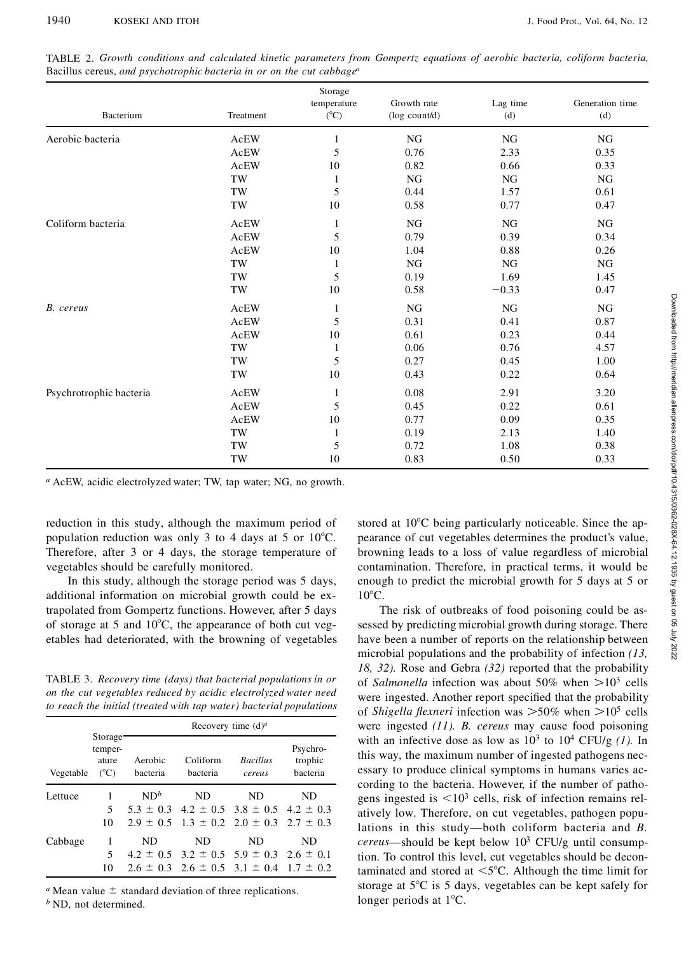| Bacterium               | Treatment           | Storage<br>temperature<br>$(^{\circ}C)$ | Growth rate<br>(log count/d) | Lag time<br>(d) | Generation time<br>(d) |
|-------------------------|---------------------|-----------------------------------------|------------------------------|-----------------|------------------------|
| Aerobic bacteria        | AcEW                | $\mathbf{1}$                            | NG                           | NG              | ${\rm NG}$             |
|                         | AcEW                | 5                                       | 0.76                         | 2.33            | 0.35                   |
|                         | AcEW                | 10                                      | 0.82                         | 0.66            | 0.33                   |
|                         | $\operatorname{TW}$ | $\mathbf{1}$                            | NG                           | NG              | NG                     |
|                         | TW                  | 5                                       | 0.44                         | 1.57            | 0.61                   |
|                         | TW                  | 10                                      | 0.58                         | 0.77            | 0.47                   |
| Coliform bacteria       | AcEW                | $\mathbf{1}$                            | NG                           | NG              | NG                     |
|                         | <b>AcEW</b>         | 5                                       | 0.79                         | 0.39            | 0.34                   |
|                         | AcEW                | 10                                      | 1.04                         | 0.88            | 0.26                   |
|                         | TW                  | $\mathbf{1}$                            | NG                           | ${\rm NG}$      | ${\rm NG}$             |
|                         | $\operatorname{TW}$ | 5                                       | 0.19                         | 1.69            | 1.45                   |
|                         | $\operatorname{TW}$ | 10                                      | 0.58                         | $-0.33$         | 0.47                   |
| B. cereus               | AcEW                | $\mathbf{1}$                            | NG                           | $_{\rm NG}$     | ${\rm NG}$             |
|                         | AcEW                | 5                                       | 0.31                         | 0.41            | 0.87                   |
|                         | AcEW                | 10                                      | 0.61                         | 0.23            | 0.44                   |
|                         | $\operatorname{TW}$ | $\mathbf{1}$                            | 0.06                         | 0.76            | 4.57                   |
|                         | TW                  | 5                                       | 0.27                         | 0.45            | 1.00                   |
|                         | TW                  | 10                                      | 0.43                         | 0.22            | 0.64                   |
| Psychrotrophic bacteria | AcEW                | $\mathbf{1}$                            | 0.08                         | 2.91            | 3.20                   |
|                         | AcEW                | 5                                       | 0.45                         | 0.22            | 0.61                   |
|                         | AcEW                | 10                                      | 0.77                         | 0.09            | 0.35                   |
|                         | TW                  | $\mathbf{1}$                            | 0.19                         | 2.13            | 1.40                   |
|                         | TW                  | 5                                       | 0.72                         | 1.08            | 0.38                   |
|                         | TW                  | 10                                      | 0.83                         | 0.50            | 0.33                   |

TABLE 2. *Growth conditions and calculated kinetic parameters from Gompertz equations of aerobic bacteria, coliform bacteria,* Bacillus cereus, *and psychotrophic bacteria in or on the cut cabbage<sup>a</sup>*

*<sup>a</sup>* AcEW, acidic electrolyzed water; TW, tap water; NG, no growth.

reduction in this study, although the maximum period of population reduction was only 3 to 4 days at 5 or  $10^{\circ}$ C. Therefore, after 3 or 4 days, the storage temperature of vegetables should be carefully monitored.

In this study, although the storage period was 5 days, additional information on microbial growth could be extrapolated from Gompertz functions. However, after 5 days of storage at 5 and  $10^{\circ}$ C, the appearance of both cut vegetables had deteriorated, with the browning of vegetables

TABLE 3. *Recovery time (days) that bacterial populations in or on the cut vegetables reduced by acidic electrolyzed water need to reach the initial (treated with tap water) bacterial populations*

|           |                                                           | Recovery time $(d)^a$ |                                                         |                           |                                 |  |  |  |
|-----------|-----------------------------------------------------------|-----------------------|---------------------------------------------------------|---------------------------|---------------------------------|--|--|--|
| Vegetable | Storage <sup>-</sup><br>temper-<br>ature<br>$(^{\circ}C)$ | Aerobic<br>hacteria   | Coliform<br>bacteria                                    | <b>Bacillus</b><br>cereus | Psychro-<br>trophic<br>bacteria |  |  |  |
| Lettuce   |                                                           | ND <sup>b</sup>       | ND.                                                     | ND.                       | ND                              |  |  |  |
|           | 5                                                         |                       | $5.3 \pm 0.3$ 4.2 $\pm$ 0.5 3.8 $\pm$ 0.5 4.2 $\pm$ 0.3 |                           |                                 |  |  |  |
|           | 10                                                        |                       | $2.9 \pm 0.5$ $1.3 \pm 0.2$ $2.0 \pm 0.3$ $2.7 \pm 0.3$ |                           |                                 |  |  |  |
| Cabbage   | 1                                                         | ND                    | ND.                                                     | ND                        | ND                              |  |  |  |
|           | 5                                                         |                       | $4.2 \pm 0.5$ $3.2 \pm 0.5$ $5.9 \pm 0.3$ $2.6 \pm 0.1$ |                           |                                 |  |  |  |
|           | 10                                                        |                       | $2.6 \pm 0.3$ $2.6 \pm 0.5$ $3.1 \pm 0.4$ $1.7 \pm 0.2$ |                           |                                 |  |  |  |

*a* Mean value  $\pm$  standard deviation of three replications.

*<sup>b</sup>* ND, not determined.

stored at  $10^{\circ}$ C being particularly noticeable. Since the appearance of cut vegetables determines the product's value, browning leads to a loss of value regardless of microbial contamination. Therefore, in practical terms, it would be enough to predict the microbial growth for 5 days at 5 or  $10^{\circ}$ C.

The risk of outbreaks of food poisoning could be assessed by predicting microbial growth during storage. There have been a number of reports on the relationship between microbial populations and the probability of infection *(13, 18, 32).* Rose and Gebra *(32)* reported that the probability of *Salmonella* infection was about 50% when  $> 10^3$  cells were ingested. Another report specified that the probability of *Shigella flexneri* infection was  $>50\%$  when  $>10^5$  cells were ingested *(11). B. cereus* may cause food poisoning with an infective dose as low as  $10^3$  to  $10^4$  CFU/g (1). In this way, the maximum number of ingested pathogens necessary to produce clinical symptoms in humans varies according to the bacteria. However, if the number of pathogens ingested is  $\leq 10^3$  cells, risk of infection remains relatively low. Therefore, on cut vegetables, pathogen populations in this study—both coliform bacteria and *B. cereus*—should be kept below 10<sup>3</sup> CFU/g until consumption. To control this level, cut vegetables should be decontaminated and stored at  $\leq 5^{\circ}$ C. Although the time limit for storage at  $5^{\circ}$ C is 5 days, vegetables can be kept safely for longer periods at  $1^{\circ}$ C.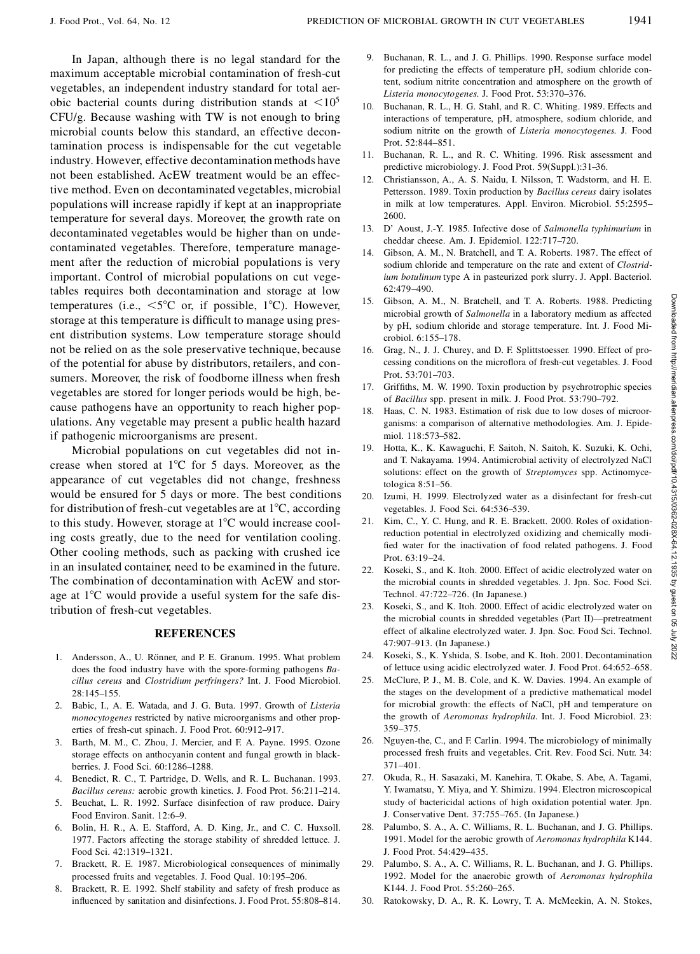In Japan, although there is no legal standard for the maximum acceptable microbial contamination of fresh-cut vegetables, an independent industry standard for total aerobic bacterial counts during distribution stands at  $\langle 10^5 \rangle$ CFU/g. Because washing with TW is not enough to bring microbial counts below this standard, an effective decontamination process is indispensable for the cut vegetable industry. However, effective decontamination methods have not been established. AcEW treatment would be an effective method. Even on decontaminated vegetables, microbial populations will increase rapidly if kept at an inappropriate temperature for several days. Moreover, the growth rate on decontaminated vegetables would be higher than on undecontaminated vegetables. Therefore, temperature management after the reduction of microbial populations is very important. Control of microbial populations on cut vegetables requires both decontamination and storage at low temperatures (i.e.,  $\leq 5^{\circ}$ C or, if possible, 1°C). However, storage at this temperature is difficult to manage using present distribution systems. Low temperature storage should not be relied on as the sole preservative technique, because of the potential for abuse by distributors, retailers, and consumers. Moreover, the risk of foodborne illness when fresh vegetables are stored for longer periods would be high, because pathogens have an opportunity to reach higher populations. Any vegetable may present a public health hazard if pathogenic microorganisms are present.

Microbial populations on cut vegetables did not increase when stored at  $1^{\circ}$ C for 5 days. Moreover, as the appearance of cut vegetables did not change, freshness would be ensured for 5 days or more. The best conditions for distribution of fresh-cut vegetables are at  $1^{\circ}C$ , according to this study. However, storage at  $1^{\circ}$ C would increase cooling costs greatly, due to the need for ventilation cooling. Other cooling methods, such as packing with crushed ice in an insulated container, need to be examined in the future. The combination of decontamination with AcEW and storage at  $1^{\circ}$ C would provide a useful system for the safe distribution of fresh-cut vegetables.

# **REFERENCES**

- 1. Andersson, A., U. Rönner, and P. E. Granum. 1995. What problem does the food industry have with the spore-forming pathogens *Bacillus cereus* and *Clostridium perfringers?* Int. J. Food Microbiol. 28:145–155.
- 2. Babic, I., A. E. Watada, and J. G. Buta. 1997. Growth of *Listeria monocytogenes* restricted by native microorganisms and other properties of fresh-cut spinach. J. Food Prot. 60:912–917.
- 3. Barth, M. M., C. Zhou, J. Mercier, and F. A. Payne. 1995. Ozone storage effects on anthocyanin content and fungal growth in blackberries. J. Food Sci. 60:1286–1288.
- 4. Benedict, R. C., T. Partridge, D. Wells, and R. L. Buchanan. 1993. *Bacillus cereus:* aerobic growth kinetics. J. Food Prot. 56:211–214.
- 5. Beuchat, L. R. 1992. Surface disinfection of raw produce. Dairy Food Environ. Sanit. 12:6–9.
- 6. Bolin, H. R., A. E. Stafford, A. D. King, Jr., and C. C. Huxsoll. 1977. Factors affecting the storage stability of shredded lettuce. J. Food Sci. 42:1319–1321.
- 7. Brackett, R. E. 1987. Microbiological consequences of minimally processed fruits and vegetables. J. Food Qual. 10:195–206.
- 8. Brackett, R. E. 1992. Shelf stability and safety of fresh produce as influenced by sanitation and disinfections. J. Food Prot. 55:808-814.
- 9. Buchanan, R. L., and J. G. Phillips. 1990. Response surface model for predicting the effects of temperature pH, sodium chloride content, sodium nitrite concentration and atmosphere on the growth of *Listeria monocytogenes.* J. Food Prot. 53:370–376.
- 10. Buchanan, R. L., H. G. Stahl, and R. C. Whiting. 1989. Effects and interactions of temperature, pH, atmosphere, sodium chloride, and sodium nitrite on the growth of *Listeria monocytogenes.* J. Food Prot. 52:844–851.
- 11. Buchanan, R. L., and R. C. Whiting. 1996. Risk assessment and predictive microbiology. J. Food Prot. 59(Suppl.):31–36.
- 12. Christiansson, A., A. S. Naidu, I. Nilsson, T. Wadstorm, and H. E. Pettersson. 1989. Toxin production by *Bacillus cereus* dairy isolates in milk at low temperatures. Appl. Environ. Microbiol. 55:2595– 2600.
- 13. D' Aoust, J.-Y. 1985. Infective dose of *Salmonella typhimurium* in cheddar cheese. Am. J. Epidemiol. 122:717–720.
- 14. Gibson, A. M., N. Bratchell, and T. A. Roberts. 1987. The effect of sodium chloride and temperature on the rate and extent of *Clostridium botulinum* type A in pasteurized pork slurry. J. Appl. Bacteriol. 62:479–490.
- 15. Gibson, A. M., N. Bratchell, and T. A. Roberts. 1988. Predicting microbial growth of *Salmonella* in a laboratory medium as affected by pH, sodium chloride and storage temperature. Int. J. Food Microbiol. 6:155–178.
- 16. Grag, N., J. J. Churey, and D. F. Splittstoesser. 1990. Effect of processing conditions on the microflora of fresh-cut vegetables. J. Food Prot. 53:701–703.
- 17. Griffiths, M. W. 1990. Toxin production by psychrotrophic species of *Bacillus* spp. present in milk. J. Food Prot. 53:790–792.
- 18. Haas, C. N. 1983. Estimation of risk due to low doses of microorganisms: a comparison of alternative methodologies. Am. J. Epidemiol. 118:573–582.
- 19. Hotta, K., K. Kawaguchi, F. Saitoh, N. Saitoh, K. Suzuki, K. Ochi, and T. Nakayama. 1994. Antimicrobial activity of electrolyzed NaCl solutions: effect on the growth of *Streptomyces* spp. Actinomycetologica 8:51–56.
- 20. Izumi, H. 1999. Electrolyzed water as a disinfectant for fresh-cut vegetables. J. Food Sci. 64:536–539.
- 21. Kim, C., Y. C. Hung, and R. E. Brackett. 2000. Roles of oxidationreduction potential in electrolyzed oxidizing and chemically modi fied water for the inactivation of food related pathogens. J. Food Prot. 63:19–24.
- 22. Koseki, S., and K. Itoh. 2000. Effect of acidic electrolyzed water on the microbial counts in shredded vegetables. J. Jpn. Soc. Food Sci. Technol. 47:722–726. (In Japanese.)
- 23. Koseki, S., and K. Itoh. 2000. Effect of acidic electrolyzed water on the microbial counts in shredded vegetables (Part II)—pretreatment effect of alkaline electrolyzed water. J. Jpn. Soc. Food Sci. Technol. 47:907–913. (In Japanese.)
- 24. Koseki, S., K. Yshida, S. Isobe, and K. Itoh. 2001. Decontamination of lettuce using acidic electrolyzed water. J. Food Prot. 64:652–658.
- 25. McClure, P. J., M. B. Cole, and K. W. Davies. 1994. An example of the stages on the development of a predictive mathematical model for microbial growth: the effects of NaCl, pH and temperature on the growth of *Aeromonas hydrophila.* Int. J. Food Microbiol. 23: 359–375.
- 26. Nguyen-the, C., and F. Carlin. 1994. The microbiology of minimally processed fresh fruits and vegetables. Crit. Rev. Food Sci. Nutr. 34: 371–401.
- 27. Okuda, R., H. Sasazaki, M. Kanehira, T. Okabe, S. Abe, A. Tagami, Y. Iwamatsu, Y. Miya, and Y. Shimizu. 1994. Electron microscopical study of bactericidal actions of high oxidation potential water. Jpn. J. Conservative Dent. 37:755–765. (In Japanese.)
- 28. Palumbo, S. A., A. C. Williams, R. L. Buchanan, and J. G. Phillips. 1991. Model for the aerobic growth of *Aeromonas hydrophila* K144. J. Food Prot. 54:429–435.
- 29. Palumbo, S. A., A. C. Williams, R. L. Buchanan, and J. G. Phillips. 1992. Model for the anaerobic growth of *Aeromonas hydrophila* K144. J. Food Prot. 55:260–265.
- 30. Ratokowsky, D. A., R. K. Lowry, T. A. McMeekin, A. N. Stokes,